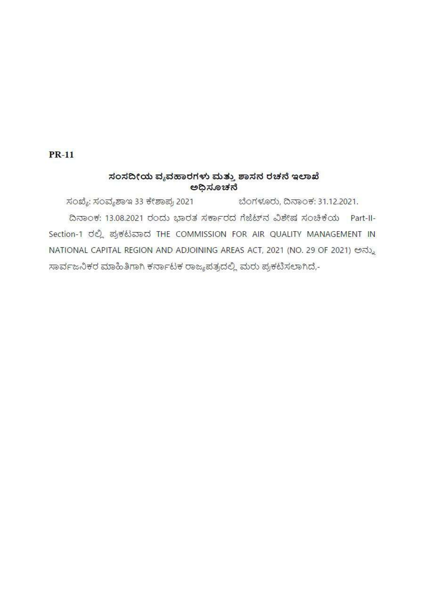# **PR-11**

# ಸಂಸದೀಯ ವ್ಯವಹಾರಗಳು ಮತ್ತು ಶಾಸನ ರಚನೆ ಇಲಾಖೆ ಅಧಿಸೂಚನೆ

ಬೆಂಗಳೂರು, ದಿನಾಂಕ: 31.12.2021. ಸಂಖ್ಯೆ: ಸಂವ್ಯಶಾಇ 33 ಕೇಶಾಪ್ರ 2021 ದಿನಾಂಕ: 13.08.2021 ರಂದು ಭಾರತ ಸರ್ಕಾರದ ಗೆಜೆಟ್ ನ ವಿಶೇಷ ಸಂಚಿಕೆಯ Part-II-Section-1 ರಲ್ಲಿ ಪ್ರಕಟವಾದ THE COMMISSION FOR AIR QUALITY MANAGEMENT IN NATIONAL CAPITAL REGION AND ADJOINING AREAS ACT, 2021 (NO. 29 OF 2021) ಅನ್ನು ಸಾರ್ವಜನಿಕರ ಮಾಹಿತಿಗಾಗಿ ಕರ್ನಾಟಕ ರಾಜ್ಯಪತ್ರದಲ್ಲಿ ಮರು ಪ್ರಕಟಿಸಲಾಗಿದೆ,-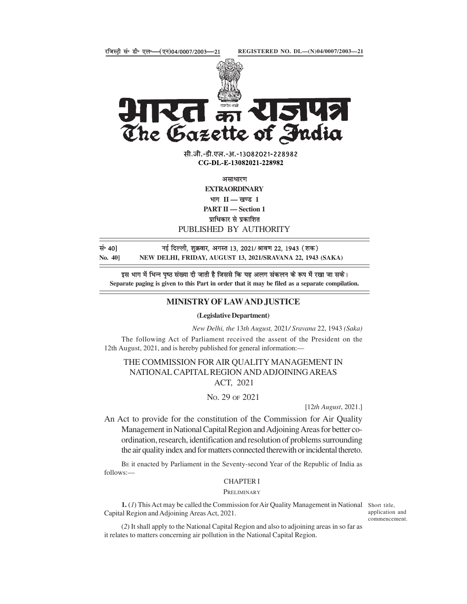

The Gazette of Andia<br>  $\pi$ ,  $\pi$ ,  $\pi$ ,  $\pi$ ,  $\pi$ ,  $\pi$ ,  $\pi$ ,  $\pi$ ,  $\pi$ ,  $\pi$ ,  $\pi$ ,  $\pi$ ,  $\pi$ ,  $\pi$ ,  $\pi$ ,  $\pi$ ,  $\pi$ ,  $\pi$ ,  $\pi$ ,  $\pi$ ,  $\pi$ ,  $\pi$ ,  $\pi$ ,  $\pi$ ,  $\pi$ ,  $\pi$ ,  $\pi$ ,  $\pi$ ,  $\pi$ ,  $\pi$ ,  $\pi$ ,  $\pi$ ,  $\pi$ ,

सी.जी.-डी.एल.-अ.-13082021-228982 CG-DL-E-13082021-228982

**EXTRAORDINARY** 

भाग $\Pi$  - खण्ड 1

PART II - Section 1

PUBLISHED BY AUTHORITY

सं॰ 40] बई दिल्ली, शुक्रवार, अगस्त 13, 2021/ श्रावण 22, 1943 (शक)

Separate paging is given to this Part in order that it may be filed as a separate compilation.

#### MINISTRY OF LAW AND JUSTICE

(Legislative Department)

New Delhi, the 13th August, 2021/ Sravana 22, 1943 (Saka)

The following Act of Parliament received the assent of the President on the 12th August, 2021, and is hereby published for general information:—

THE COMMISSION FOR AIR QUALITY MANAGEMENT IN NATIONAL CAPITAL REGION AND ADJOINING AREAS ACT, 2021

#### NO. 29 OF 2021

[12th August, 2021.]

An Act to provide for the constitution of the Commission for Air Quality Management in National Capital Region and Adjoining Areas for better coordination, research, identification and resolution of problems surrounding the air quality index and for matters connected therewith or incidental thereto.

BE it enacted by Parliament in the Seventy-second Year of the Republic of India as follows:––

# CHAPTER I

# **PRELIMINARY**

1. (1) This Act may be called the Commission for Air Quality Management in National Short title, Capital Region and Adjoining Areas Act, 2021.

application and commencement.

(2) It shall apply to the National Capital Region and also to adjoining areas in so far as it relates to matters concerning air pollution in the National Capital Region.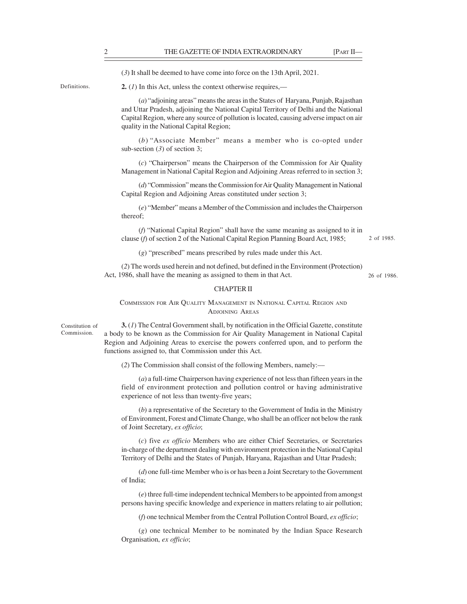(3) It shall be deemed to have come into force on the 13th April, 2021.

Definitions. **2.** (1) In this Act, unless the context otherwise requires,—

THE GAZETTE OF INDIA EXTRAORDINARY [PART II—<br>
(3) It shall be deemed to have come into force on the 13th April, 2021.<br>
2. (1) In this Act, unless the context otherwise requires,—<br>
(a) "adioming areas" means the areas in th (a) "adjoining areas" means the areas in the States of Haryana, Punjab, Rajasthan and Uttar Pradesh, adjoining the National Capital Territory of Delhi and the National Capital Region, where any source of pollution is located, causing adverse impact on air quality in the National Capital Region; THE GAZETTE OF INDIA EXTRAORDINARY [PART II-<br>
shall be deemed to have come into force on the 13th April, 2021.<br>
In this Act, unless the context otherwise requires,—<br>
(a) "adjoining areas" means the areas in the States of H

sub-section (3) of section 3;

(c) "Chairperson" means the Chairperson of the Commission for Air Quality Management in National Capital Region and Adjoining Areas referred to in section 3;

(d) "Commission" means the Commission for Air Quality Management in National Capital Region and Adjoining Areas constituted under section 3;

(e) "Member" means a Member of the Commission and includes the Chairperson thereof;

(f) "National Capital Region" shall have the same meaning as assigned to it in clause (f) of section 2 of the National Capital Region Planning Board Act, 1985;

2 of 1985.

(g) "prescribed" means prescribed by rules made under this Act.

(2) The words used herein and not defined, but defined in the Environment (Protection) Act, 1986, shall have the meaning as assigned to them in that Act.

26 of 1986.

#### CHAPTER II

COMMISSION FOR AIR QUALITY MANAGEMENT IN NATIONAL CAPITAL REGION AND ADJOINING AREAS

Commission.

 $3. (I)$  The Central Government shall, by notification in the Official Gazette, constitute a body to be known as the Commission for Air Quality Management in National Capital Region and Adjoining Areas to exercise the powers conferred upon, and to perform the functions assigned to, that Commission under this Act.

(2) The Commission shall consist of the following Members, namely:––

(a) a full-time Chairperson having experience of not less than fifteen years in the field of environment protection and pollution control or having administrative experience of not less than twenty-five years;

(b) a representative of the Secretary to the Government of India in the Ministry of Environment, Forest and Climate Change, who shall be an officer not below the rank of Joint Secretary, ex officio;

(c) five ex officio Members who are either Chief Secretaries, or Secretaries in-charge of the department dealing with environment protection in the National Capital Territory of Delhi and the States of Punjab, Haryana, Rajasthan and Uttar Pradesh;

(d) one full-time Member who is or has been a Joint Secretary to the Government of India;

(e) three full-time independent technical Members to be appointed from amongst persons having specific knowledge and experience in matters relating to air pollution;

(f) one technical Member from the Central Pollution Control Board, ex officio;

(g) one technical Member to be nominated by the Indian Space Research Organisation, ex officio;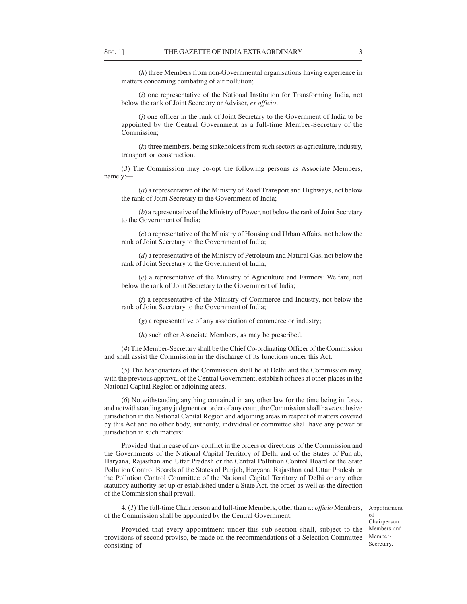SEC. 1] THE GAZETTE OF INDIA EXTRAORDINARY 3<br>
(*h*) three Members from non-Governmental organisations having experience in matters concerning combating of air pollution;<br>
(*i*) one representative of the National Institutio (h) three Members from non-Governmental organisations having experience in matters concerning combating of air pollution;

(i) one representative of the National Institution for Transforming India, not below the rank of Joint Secretary or Adviser, ex officio;

(j) one officer in the rank of Joint Secretary to the Government of India to be appointed by the Central Government as a full-time Member-Secretary of the Commission;

(k) three members, being stakeholders from such sectors as agriculture, industry, transport or construction.

(3) The Commission may co-opt the following persons as Associate Members, namely:—

(a) a representative of the Ministry of Road Transport and Highways, not below the rank of Joint Secretary to the Government of India;

(b) a representative of the Ministry of Power, not below the rank of Joint Secretary to the Government of India;

(c) a representative of the Ministry of Housing and Urban Affairs, not below the rank of Joint Secretary to the Government of India;

(d) a representative of the Ministry of Petroleum and Natural Gas, not below the rank of Joint Secretary to the Government of India;

(e) a representative of the Ministry of Agriculture and Farmers' Welfare, not below the rank of Joint Secretary to the Government of India;

(f) a representative of the Ministry of Commerce and Industry, not below the rank of Joint Secretary to the Government of India;

(g) a representative of any association of commerce or industry;

(h) such other Associate Members, as may be prescribed.

(4) The Member-Secretary shall be the Chief Co-ordinating Officer of the Commission and shall assist the Commission in the discharge of its functions under this Act.

(5) The headquarters of the Commission shall be at Delhi and the Commission may, with the previous approval of the Central Government, establish offices at other places in the National Capital Region or adjoining areas.

(6) Notwithstanding anything contained in any other law for the time being in force, and notwithstanding any judgment or order of any court, the Commission shall have exclusive jurisdiction in the National Capital Region and adjoining areas in respect of matters covered by this Act and no other body, authority, individual or committee shall have any power or jurisdiction in such matters:

Provided that in case of any conflict in the orders or directions of the Commission and the Governments of the National Capital Territory of Delhi and of the States of Punjab, Haryana, Rajasthan and Uttar Pradesh or the Central Pollution Control Board or the State Pollution Control Boards of the States of Punjab, Haryana, Rajasthan and Uttar Pradesh or the Pollution Control Committee of the National Capital Territory of Delhi or any other statutory authority set up or established under a State Act, the order as well as the direction of the Commission shall prevail.

**4.** (1) The full-time Chairperson and full-time Members, other than  $ex$  officio Members, of the Commission shall be appointed by the Central Government:

Appointment of Chairperson, Members and Member-Secretary.

Provided that every appointment under this sub-section shall, subject to the provisions of second proviso, be made on the recommendations of a Selection Committee consisting of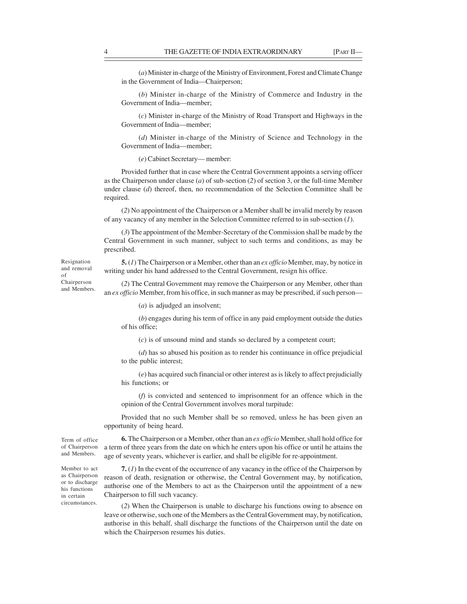THE GAZETTE OF INDIA EXTRAORDINARY [PART II—<br>
(a) Minister in-charge of the Ministry of Environment, Forest and Climate Change<br>
in the Government of India—Chairperson;<br>
(b) Minister in-charge of the Ministry of Commerce an (a) Minister in-charge of the Ministry of Environment, Forest and Climate Change in the Government of India––Chairperson;

(b) Minister in-charge of the Ministry of Commerce and Industry in the Government of India––member;

(c) Minister in-charge of the Ministry of Road Transport and Highways in the Government of India—member;

(d) Minister in-charge of the Ministry of Science and Technology in the Government of India––member;

(e) Cabinet Secretary–– member:

Provided further that in case where the Central Government appoints a serving officer as the Chairperson under clause ( $a$ ) of sub-section (2) of section 3, or the full-time Member under clause  $(d)$  thereof, then, no recommendation of the Selection Committee shall be required.

(2) No appointment of the Chairperson or a Member shall be invalid merely by reason of any vacancy of any member in the Selection Committee referred to in sub-section (1).

(3) The appointment of the Member-Secretary of the Commission shall be made by the Central Government in such manner, subject to such terms and conditions, as may be prescribed.

Resignation **5.** (1) The Chairperson or a Member, other than an *ex officio* Member, may, by notice in and removal writing under his hand addressed to the Central Government, resign his office.

(2) The Central Government may remove the Chairperson or any Member, other than Chairperson and Members. an ex officio Member, from his office, in such manner as may be prescribed, if such person—

(a) is adjudged an insolvent;

(b) engages during his term of office in any paid employment outside the duties of his office;

(c) is of unsound mind and stands so declared by a competent court;

(d) has so abused his position as to render his continuance in office prejudicial to the public interest;

(e) has acquired such financial or other interest as is likely to affect prejudicially his functions; or

(f) is convicted and sentenced to imprisonment for an offence which in the opinion of the Central Government involves moral turpitude:

Provided that no such Member shall be so removed, unless he has been given an opportunity of being heard.

circumstances.

Term of office  $\qquad 6.$  The Chairperson or a Member, other than an *ex officio* Member, shall hold office for of Chairperson a term of three years from the date on which he enters upon his office or until he attains the and Members. age of seventy years, whichever is earlier, and shall be eligible for re-appointment.

Member to act  $\mathcal{T}(\mathcal{I})$  In the event of the occurrence of any vacancy in the office of the Chairperson by as Chairperson reason of death, resignation or otherwise, the Central Government may, by notification, or to discharge authorise one of the Members to act as the Chairperson until the appointment of a new Chairperson to fill such vacancy. in certain his functions auditorise one of the intermode

(2) When the Chairperson is unable to discharge his functions owing to absence on leave or otherwise, such one of the Members as the Central Government may, by notification, authorise in this behalf, shall discharge the functions of the Chairperson until the date on which the Chairperson resumes his duties.

of many direct in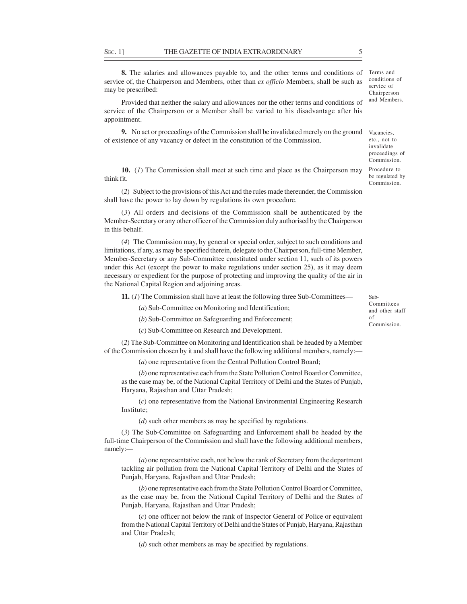SEC. 1] THE GAZETTE OF INDIA EXTRAORDINARY 5<br>
8. The salaries and allowances payable to, and the other terms and conditions of Terms and<br>
service of the Chairperson and Members, other than *ex officio* Members, shall be su 8. The salaries and allowances payable to, and the other terms and conditions of Terms and service of, the Chairperson and Members, other than *ex officio* Members, shall be such as may be prescribed:

Provided that neither the salary and allowances nor the other terms and conditions of service of the Chairperson or a Member shall be varied to his disadvantage after his appointment. **EXERCTS**<br> **EXERCISE TO A SUBJECT TO A SUBJECT TO A SUBJECT THE GAZETTE OF INDIA EXTRAORDINARY**<br> **EXERCT TO A SUBJECT TO A SUBJECT TO A SUBJECT THE CONSTRAINS OF THE CONSTRANT CONSTRANT CONSTRANT CONSTRANT CONSTRANT COMPO** 

9. No act or proceedings of the Commission shall be invalidated merely on the ground Vacancies, of existence of any vacancy or defect in the constitution of the Commission.

10. (1) The Commission shall meet at such time and place as the Chairperson may think fit.

shall have the power to lay down by regulations its own procedure.

Member-Secretary or any other officer of the Commission duly authorised by the Chairperson in this behalf.

**THE GAZETTE OF INDIA EXTRAORDINARY** 5<br> **3.** The salaries and allowances payable to, and the other terms and conditions of <sup>Terms</sup> and  $\sigma$  prescribed:<br> **4.** Prosecutions and Members, other than *ex officio* Members, shal (4) THE GAZETTE OF INDIA EXTRAORDINARY 5<br> **8.** The salaries and allowances payable to, and the other terms and conditions of Terms and<br>
e of, the Chairpenson and Members, other than *ex officio* Members, shall be such as limitations, if any, as may be specified therein, delegate to the Chairperson, full-time Member, Member-Secretary or any Sub-Committee constituted under section 11, such of its powers under this Act (except the power to make regulations under section 25), as it may deem necessary or expedient for the purpose of protecting and improving the quality of the air in the National Capital Region and adjoining areas.

11. (1) The Commission shall have at least the following three Sub-Committees—

(a) Sub-Committee on Monitoring and Identification;

(b) Sub-Committee on Safeguarding and Enforcement;

(c) Sub-Committee on Research and Development.

(2) The Sub-Committee on Monitoring and Identification shall be headed by a Member of the Commission chosen by it and shall have the following additional members, namely:—

(a) one representative from the Central Pollution Control Board;

(b) one representative each from the State Pollution Control Board or Committee, as the case may be, of the National Capital Territory of Delhi and the States of Punjab, Haryana, Rajasthan and Uttar Pradesh;

(c) one representative from the National Environmental Engineering Research Institute;

(*d*) such other members as may be specified by regulations.

(3) The Sub-Committee on Safeguarding and Enforcement shall be headed by the full-time Chairperson of the Commission and shall have the following additional members, namely:—

(a) one representative each, not below the rank of Secretary from the department tackling air pollution from the National Capital Territory of Delhi and the States of Punjab, Haryana, Rajasthan and Uttar Pradesh;

(b) one representative each from the State Pollution Control Board or Committee, as the case may be, from the National Capital Territory of Delhi and the States of Punjab, Haryana, Rajasthan and Uttar Pradesh;

(c) one officer not below the rank of Inspector General of Police or equivalent from the National Capital Territory of Delhi and the States of Punjab, Haryana, Rajasthan and Uttar Pradesh;

(d) such other members as may be specified by regulations.

etc., not to invalidate proceedings of

conditions of service of Chairperson and Members.

Procedure to be regulated by Commission.

Commission.

Sub-**Committees** and other staff of Commission.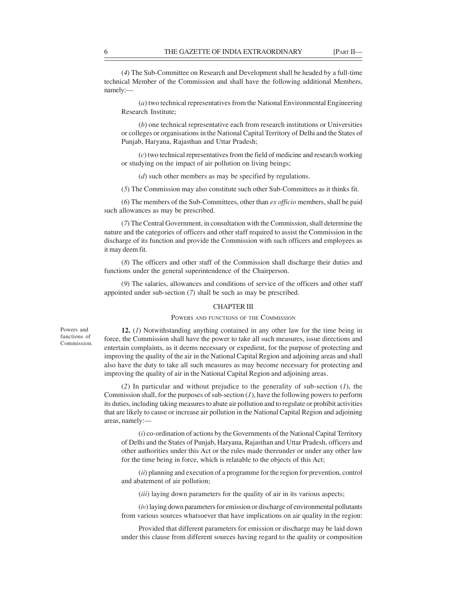THE GAZETTE OF INDIA EXTRAORDINARY [PART II—<br>
(4) The Sub-Committee on Research and Development shall be headed by a full-time<br>
technical Member of the Commission and shall have the following additional Members,<br>
namely:— (4) The Sub-Committee on Research and Development shall be headed by a full-time technical Member of the Commission and shall have the following additional Members, namely:—

(a) two technical representatives from the National Environmental Engineering Research Institute;

(b) one technical representative each from research institutions or Universities or colleges or organisations in the National Capital Territory of Delhi and the States of Punjab, Haryana, Rajasthan and Uttar Pradesh;

(c) two technical representatives from the field of medicine and research working or studying on the impact of air pollution on living beings;

(d) such other members as may be specified by regulations.

(5) The Commission may also constitute such other Sub-Committees as it thinks fit.

(6) The members of the Sub-Committees, other than ex officio members, shall be paid such allowances as may be prescribed.

(7) The Central Government, in consultation with the Commission, shall determine the nature and the categories of officers and other staff required to assist the Commission in the discharge of its function and provide the Commission with such officers and employees as it may deem fit.

(8) The officers and other staff of the Commission shall discharge their duties and functions under the general superintendence of the Chairperson.

(9) The salaries, allowances and conditions of service of the officers and other staff appointed under sub-section (7) shall be such as may be prescribed.

### CHAPTER III

#### POWERS AND FUNCTIONS OF THE COMMISSION

Commission.

Powers and **12.** (*I*) Notwithstanding anything contained in any other law for the time being in functions of force, the Commission shall have the power to take all such measures, issue directions and entertain complaints, as it deems necessary or expedient, for the purpose of protecting and improving the quality of the air in the National Capital Region and adjoining areas and shall also have the duty to take all such measures as may become necessary for protecting and improving the quality of air in the National Capital Region and adjoining areas.

> (2) In particular and without prejudice to the generality of sub-section  $(1)$ , the Commission shall, for the purposes of sub-section  $(I)$ , have the following powers to perform its duties, including taking measures to abate air pollution and to regulate or prohibit activities that are likely to cause or increase air pollution in the National Capital Region and adjoining areas, namely:—

(i) co-ordination of actions by the Governments of the National Capital Territory of Delhi and the States of Punjab, Haryana, Rajasthan and Uttar Pradesh, officers and other authorities under this Act or the rules made thereunder or under any other law for the time being in force, which is relatable to the objects of this Act;

(ii) planning and execution of a programme for the region for prevention, control and abatement of air pollution;

(iii) laying down parameters for the quality of air in its various aspects;

 $(iv)$  laying down parameters for emission or discharge of environmental pollutants from various sources whatsoever that have implications on air quality in the region:

Provided that different parameters for emission or discharge may be laid down under this clause from different sources having regard to the quality or composition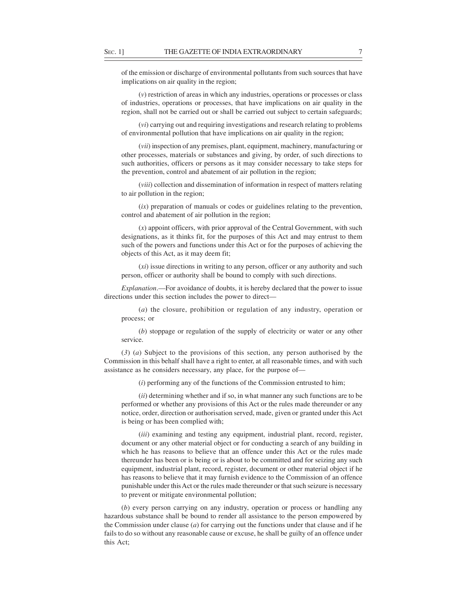SEC. 1] THE GAZETTE OF INDIA EXTRAORDINARY 7 7<br>
of the emission or discharge of environmental pollutants from such sources that have<br>
implications on air quality in the region;<br>
(v) restriction of areas in which any indust of the emission or discharge of environmental pollutants from such sources that have implications on air quality in the region;

(v) restriction of areas in which any industries, operations or processes or class of industries, operations or processes, that have implications on air quality in the region, shall not be carried out or shall be carried out subject to certain safeguards;

(vi) carrying out and requiring investigations and research relating to problems of environmental pollution that have implications on air quality in the region;

(vii) inspection of any premises, plant, equipment, machinery, manufacturing or other processes, materials or substances and giving, by order, of such directions to such authorities, officers or persons as it may consider necessary to take steps for the prevention, control and abatement of air pollution in the region;

(viii) collection and dissemination of information in respect of matters relating to air pollution in the region;

 $(ix)$  preparation of manuals or codes or guidelines relating to the prevention, control and abatement of air pollution in the region;

(x) appoint officers, with prior approval of the Central Government, with such designations, as it thinks fit, for the purposes of this Act and may entrust to them such of the powers and functions under this Act or for the purposes of achieving the objects of this Act, as it may deem fit;

(xi) issue directions in writing to any person, officer or any authority and such person, officer or authority shall be bound to comply with such directions.

Explanation.—For avoidance of doubts, it is hereby declared that the power to issue directions under this section includes the power to direct—

(a) the closure, prohibition or regulation of any industry, operation or process; or

(b) stoppage or regulation of the supply of electricity or water or any other service.

(3) (a) Subject to the provisions of this section, any person authorised by the Commission in this behalf shall have a right to enter, at all reasonable times, and with such assistance as he considers necessary, any place, for the purpose of—

 $(i)$  performing any of the functions of the Commission entrusted to him;

 $(ii)$  determining whether and if so, in what manner any such functions are to be performed or whether any provisions of this Act or the rules made thereunder or any notice, order, direction or authorisation served, made, given or granted under this Act is being or has been complied with;

(iii) examining and testing any equipment, industrial plant, record, register, document or any other material object or for conducting a search of any building in which he has reasons to believe that an offence under this Act or the rules made thereunder has been or is being or is about to be committed and for seizing any such equipment, industrial plant, record, register, document or other material object if he has reasons to believe that it may furnish evidence to the Commission of an offence punishable under this Act or the rules made thereunder or that such seizure is necessary to prevent or mitigate environmental pollution;

(b) every person carrying on any industry, operation or process or handling any hazardous substance shall be bound to render all assistance to the person empowered by the Commission under clause  $(a)$  for carrying out the functions under that clause and if he fails to do so without any reasonable cause or excuse, he shall be guilty of an offence under this Act;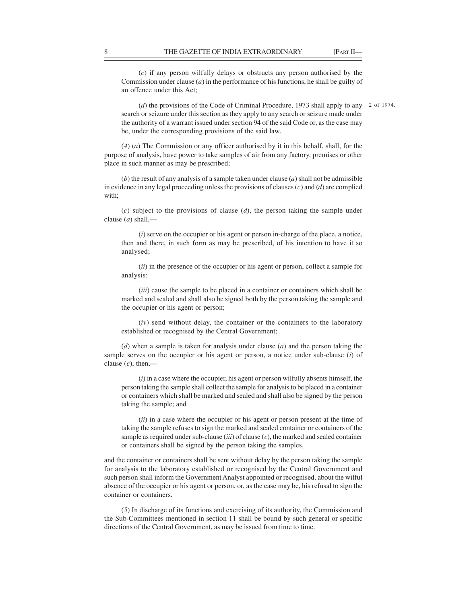**8** THE GAZETTE OF INDIA EXTRAORDINARY [PART II—<br>(c) if any person wilfully delays or obstructs any person authorised by the Commission under clause (*a*) in the performance of his functions, he shall be guilty of an offe (c) if any person wilfully delays or obstructs any person authorised by the Commission under clause  $(a)$  in the performance of his functions, he shall be guilty of an offence under this Act;

(d) the provisions of the Code of Criminal Procedure, 1973 shall apply to any 2 of 1974.search or seizure under this section as they apply to any search or seizure made under the authority of a warrant issued under section 94 of the said Code or, as the case may be, under the corresponding provisions of the said law.

(4) (a) The Commission or any officer authorised by it in this behalf, shall, for the purpose of analysis, have power to take samples of air from any factory, premises or other place in such manner as may be prescribed;

(b) the result of any analysis of a sample taken under clause  $(a)$  shall not be admissible in evidence in any legal proceeding unless the provisions of clauses  $(c)$  and  $(d)$  are complied with;

(c) subject to the provisions of clause  $(d)$ , the person taking the sample under clause  $(a)$  shall,—

 $(i)$  serve on the occupier or his agent or person in-charge of the place, a notice, then and there, in such form as may be prescribed, of his intention to have it so analysed;

(ii) in the presence of the occupier or his agent or person, collect a sample for analysis;

(*iii*) cause the sample to be placed in a container or containers which shall be marked and sealed and shall also be signed both by the person taking the sample and the occupier or his agent or person;

(iv) send without delay, the container or the containers to the laboratory established or recognised by the Central Government;

 $(d)$  when a sample is taken for analysis under clause  $(a)$  and the person taking the sample serves on the occupier or his agent or person, a notice under sub-clause (i) of clause  $(c)$ , then,—

 $(i)$  in a case where the occupier, his agent or person wilfully absents himself, the person taking the sample shall collect the sample for analysis to be placed in a container or containers which shall be marked and sealed and shall also be signed by the person taking the sample; and

(ii) in a case where the occupier or his agent or person present at the time of taking the sample refuses to sign the marked and sealed container or containers of the sample as required under sub-clause  $(iii)$  of clause  $(c)$ , the marked and sealed container or containers shall be signed by the person taking the samples,

and the container or containers shall be sent without delay by the person taking the sample for analysis to the laboratory established or recognised by the Central Government and such person shall inform the Government Analyst appointed or recognised, about the wilful absence of the occupier or his agent or person, or, as the case may be, his refusal to sign the container or containers.

(5) In discharge of its functions and exercising of its authority, the Commission and the Sub-Committees mentioned in section 11 shall be bound by such general or specific directions of the Central Government, as may be issued from time to time.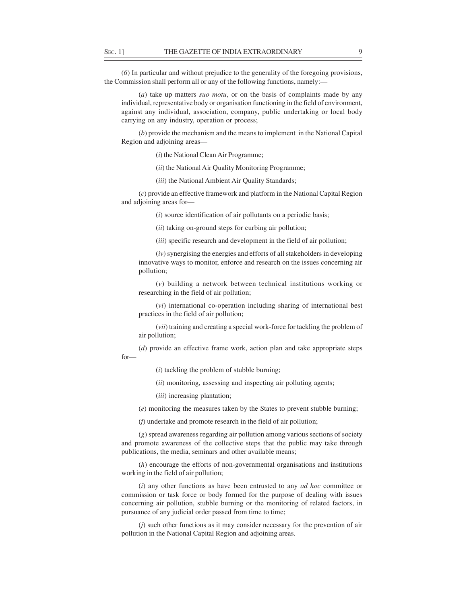SEC. 1] THE GAZETTE OF INDIA EXTRAORDINARY 9<br>
(6) In particular and without prejudice to the generality of the foregoing provisions,<br>
the Commission shall perform all or any of the following functions, namely:—<br>
(a) take u (6) In particular and without prejudice to the generality of the foregoing provisions, the Commission shall perform all or any of the following functions, namely:—

(a) take up matters *suo motu*, or on the basis of complaints made by any individual, representative body or organisation functioning in the field of environment, against any individual, association, company, public undertaking or local body carrying on any industry, operation or process;

(b) provide the mechanism and the means to implement in the National Capital Region and adjoining areas—

(i) the National Clean Air Programme;

(ii) the National Air Quality Monitoring Programme;

(iii) the National Ambient Air Quality Standards;

(c) provide an effective framework and platform in the National Capital Region and adjoining areas for—

 $(i)$  source identification of air pollutants on a periodic basis;

(*ii*) taking on-ground steps for curbing air pollution;

(*iii*) specific research and development in the field of air pollution;

(iv) synergising the energies and efforts of all stakeholders in developing innovative ways to monitor, enforce and research on the issues concerning air pollution;

(v) building a network between technical institutions working or researching in the field of air pollution;

(vi) international co-operation including sharing of international best practices in the field of air pollution;

(vii) training and creating a special work-force for tackling the problem of air pollution;

(d) provide an effective frame work, action plan and take appropriate steps for—

 $(i)$  tackling the problem of stubble burning;

(*ii*) monitoring, assessing and inspecting air polluting agents;

(*iii*) increasing plantation;

(e) monitoring the measures taken by the States to prevent stubble burning;

(f) undertake and promote research in the field of air pollution;

(g) spread awareness regarding air pollution among various sections of society and promote awareness of the collective steps that the public may take through publications, the media, seminars and other available means;

(h) encourage the efforts of non-governmental organisations and institutions working in the field of air pollution;

 $(i)$  any other functions as have been entrusted to any *ad hoc* committee or commission or task force or body formed for the purpose of dealing with issues concerning air pollution, stubble burning or the monitoring of related factors, in pursuance of any judicial order passed from time to time;

(j) such other functions as it may consider necessary for the prevention of air pollution in the National Capital Region and adjoining areas.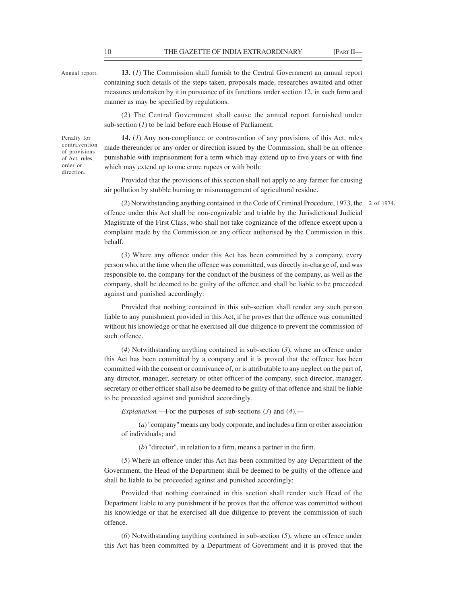THE GAZETTE OF INDIA EXTRAORDINARY [PART II—13. (1) The Commission shall furnish to the Central Government an annual report<br>containing such details of the steps taken, proposals made, researches awaited and other measures Annual report. **13.** (1) The Commission shall furnish to the Central Government an annual report containing such details of the steps taken, proposals made, researches awaited and other measures undertaken by it in pursuance of its functions under section 12, in such form and manner as may be specified by regulations.

(2) The Central Government shall cause the annual report furnished under sub-section  $(I)$  to be laid before each House of Parliament.

direction.

Penalty for **14.** (*I*) Any non-compliance or contravention of any provisions of this Act, rules made thereunder or any order or direction issued by the Commission, shall be an offence contravention of Act, rules, punishable with imprisonment for a term which may extend up to five years or with fine order or which may extend up to one crore rupees or with both: of provisions there increanced by any order

> Provided that the provisions of this section shall not apply to any farmer for causing air pollution by stubble burning or mismanagement of agricultural residue.

(2) Notwithstanding anything contained in the Code of Criminal Procedure, 1973, the 2 of 1974.offence under this Act shall be non-cognizable and triable by the Jurisdictional Judicial Magistrate of the First Class, who shall not take cognizance of the offence except upon a complaint made by the Commission or any officer authorised by the Commission in this behalf.

(3) Where any offence under this Act has been committed by a company, every person who, at the time when the offence was committed, was directly in-charge of, and was responsible to, the company for the conduct of the business of the company, as well as the company, shall be deemed to be guilty of the offence and shall be liable to be proceeded against and punished accordingly:

Provided that nothing contained in this sub-section shall render any such person liable to any punishment provided in this Act, if he proves that the offence was committed without his knowledge or that he exercised all due diligence to prevent the commission of such offence.

(4) Notwithstanding anything contained in sub-section (3), where an offence under this Act has been committed by a company and it is proved that the offence has been committed with the consent or connivance of, or is attributable to any neglect on the part of, any director, manager, secretary or other officer of the company, such director, manager, secretary or other officer shall also be deemed to be guilty of that offence and shall be liable to be proceeded against and punished accordingly.

Explanation.—For the purposes of sub-sections  $(3)$  and  $(4)$ ,—

(a) "company" means any body corporate, and includes a firm or other association of individuals; and

(b) "director", in relation to a firm, means a partner in the firm.

(5) Where an offence under this Act has been committed by any Department of the Government, the Head of the Department shall be deemed to be guilty of the offence and shall be liable to be proceeded against and punished accordingly:

Provided that nothing contained in this section shall render such Head of the Department liable to any punishment if he proves that the offence was committed without his knowledge or that he exercised all due diligence to prevent the commission of such offence.

(6) Notwithstanding anything contained in sub-section (5), where an offence under this Act has been committed by a Department of Government and it is proved that the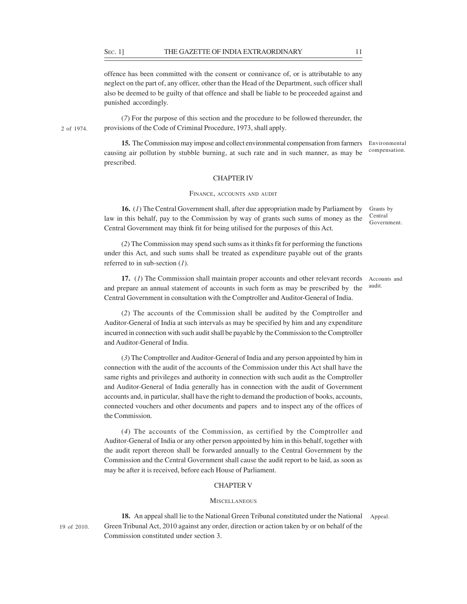SEC. 1] THE GAZETTE OF INDIA EXTRAORDINARY 11<br>
offence has been committed with the consent or connivance of, or is attributable to any<br>
neglect on the part of, any officer, other than the Head of the Department, such offic offence has been committed with the consent or connivance of, or is attributable to any neglect on the part of, any officer, other than the Head of the Department, such officer shall also be deemed to be guilty of that offence and shall be liable to be proceeded against and punished accordingly.

(7) For the purpose of this section and the procedure to be followed thereunder, the provisions of the Code of Criminal Procedure, 1973, shall apply. 2 of 1974.

> 15. The Commission may impose and collect environmental compensation from farmers causing air pollution by stubble burning, at such rate and in such manner, as may be prescribed. Environmental compensation.

# CHAPTER IV

#### FINANCE, ACCOUNTS AND AUDIT

16. (1) The Central Government shall, after due appropriation made by Parliament by law in this behalf, pay to the Commission by way of grants such sums of money as the Central Government may think fit for being utilised for the purposes of this Act.

(2) The Commission may spend such sums as it thinks fit for performing the functions under this Act, and such sums shall be treated as expenditure payable out of the grants referred to in sub-section  $(I)$ .

17. (1) The Commission shall maintain proper accounts and other relevant records and prepare an annual statement of accounts in such form as may be prescribed by the Central Government in consultation with the Comptroller and Auditor-General of India. audit.

(2) The accounts of the Commission shall be audited by the Comptroller and Auditor-General of India at such intervals as may be specified by him and any expenditure incurred in connection with such audit shall be payable by the Commission to the Comptroller and Auditor-General of India.

(3) The Comptroller and Auditor-General of India and any person appointed by him in connection with the audit of the accounts of the Commission under this Act shall have the same rights and privileges and authority in connection with such audit as the Comptroller and Auditor-General of India generally has in connection with the audit of Government accounts and, in particular, shall have the right to demand the production of books, accounts, connected vouchers and other documents and papers and to inspect any of the offices of the Commission.

(4) The accounts of the Commission, as certified by the Comptroller and Auditor-General of India or any other person appointed by him in this behalf, together with the audit report thereon shall be forwarded annually to the Central Government by the Commission and the Central Government shall cause the audit report to be laid, as soon as may be after it is received, before each House of Parliament.

#### CHAPTER V

#### **MISCELLANEOUS**

18. An appeal shall lie to the National Green Tribunal constituted under the National Green Tribunal Act, 2010 against any order, direction or action taken by or on behalf of the 19 of 2010. Commission constituted under section 3. Appeal.

Grants by Central Government.

Accounts and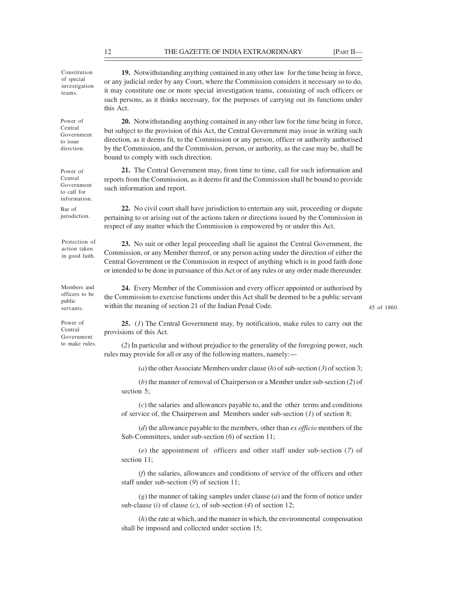THE GAZETTE OF INDIA EXTRAORDINARY [PART II—19. Notwithstanding anything contained in any other law for the time being in force,<br>
or any judicial order by any Court, where the Commission considers it neessary so to do,<br>
th 19. Notwithstanding anything contained in any other law for the time being in force, Constitution or any judicial order by any Court, where the Commission considers it necessary so to do, of special investigation<br>teams it may constitute one or more special investigation teams, consisting of such officers or such persons, as it thinks necessary, for the purposes of carrying out its functions under this Act. Power of 20. Notwithstanding anything contained in any other law for the time being in force, but subject to the provision of this Act, the Central Government may issue in writing such Central direction, as it deems fit, to the Commission or any person, officer or authority authorised to issue by the Commission, and the Commission, person, or authority, as the case may be, shall be direction. bound to comply with such direction. Power of 21. The Central Government may, from time to time, call for such information and reports from the Commission, as it deems fit and the Commission shall be bound to provide Central Government such information and report. Bar of 22. No civil court shall have jurisdiction to entertain any suit, proceeding or dispute pertaining to or arising out of the actions taken or directions issued by the Commission in jurisdiction. respect of any matter which the Commission is empowered by or under this Act. Protection of 23. No suit or other legal proceeding shall lie against the Central Government, the action taken<br>in good faith Commission, or any Member thereof, or any person acting under the direction of either the Central Government or the Commission in respect of anything which is in good faith done or intended to be done in pursuance of this Act or of any rules or any order made thereunder. Members and 24. Every Member of the Commission and every officer appointed or authorised by officers to be the Commission to exercise functions under this Act shall be deemed to be a public servant public<br>
within the meaning of section 21 of the Indian Penal Code. Power of **25.** (*I*) The Central Government may, by notification, make rules to carry out the provisions of this Act. Central (2) In particular and without prejudice to the generality of the foregoing power, such to make rules. rules may provide for all or any of the following matters, namely:— (a) the other Associate Members under clause  $(h)$  of sub-section  $(3)$  of section 3; (b) the manner of removal of Chairperson or a Member under sub-section (2) of section 5; (c) the salaries and allowances payable to, and the other terms and conditions of service of, the Chairperson and Members under sub-section  $(I)$  of section 8;  $(d)$  the allowance payable to the members, other than *ex officio* members of the Sub-Committees, under sub-section  $(6)$  of section 11; (e) the appointment of officers and other staff under sub-section (7) of section 11; teams. It may cons to call for such information and in good faith. servants. Within the mea Government

(f) the salaries, allowances and conditions of service of the officers and other staff under sub-section (9) of section 11;

 $(g)$  the manner of taking samples under clause  $(a)$  and the form of notice under sub-clause (i) of clause (c), of sub-section (4) of section 12;

(h) the rate at which, and the manner in which, the environmental compensation shall be imposed and collected under section 15;

Government

information.

45 of 1860.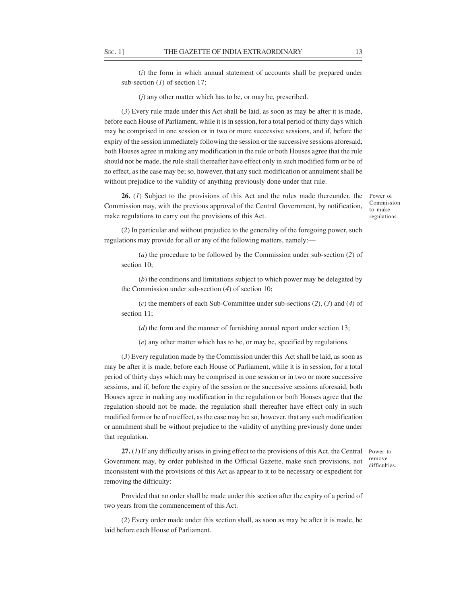SEC. 1] THE GAZETTE OF INDIA EXTRAORDINARY 13<br>
(*i*) the form in which annual statement of accounts shall be prepared under<br>
sub-section (*I*) of section 17;<br>
(*j*) any other matter which has to be, or may be, prescribed. (i) the form in which annual statement of accounts shall be prepared under sub-section  $(1)$  of section 17;

 $(j)$  any other matter which has to be, or may be, prescribed.

(3) Every rule made under this Act shall be laid, as soon as may be after it is made, before each House of Parliament, while it is in session, for a total period of thirty days which may be comprised in one session or in two or more successive sessions, and if, before the expiry of the session immediately following the session or the successive sessions aforesaid, both Houses agree in making any modification in the rule or both Houses agree that the rule should not be made, the rule shall thereafter have effect only in such modified form or be of no effect, as the case may be; so, however, that any such modification or annulment shall be without prejudice to the validity of anything previously done under that rule.

26. (1) Subject to the provisions of this Act and the rules made thereunder, the Commission may, with the previous approval of the Central Government, by notification, make regulations to carry out the provisions of this Act.

Power of Commission to make regulations.

(2) In particular and without prejudice to the generality of the foregoing power, such regulations may provide for all or any of the following matters, namely:—

(a) the procedure to be followed by the Commission under sub-section (2) of section 10;

(b) the conditions and limitations subject to which power may be delegated by the Commission under sub-section (4) of section 10;

 $(c)$  the members of each Sub-Committee under sub-sections  $(2)$ ,  $(3)$  and  $(4)$  of section 11;

 $(d)$  the form and the manner of furnishing annual report under section 13;

(e) any other matter which has to be, or may be, specified by regulations.

(3) Every regulation made by the Commission under this Act shall be laid, as soon as may be after it is made, before each House of Parliament, while it is in session, for a total period of thirty days which may be comprised in one session or in two or more successive sessions, and if, before the expiry of the session or the successive sessions aforesaid, both Houses agree in making any modification in the regulation or both Houses agree that the regulation should not be made, the regulation shall thereafter have effect only in such modified form or be of no effect, as the case may be; so, however, that any such modification or annulment shall be without prejudice to the validity of anything previously done under that regulation.

27. (1) If any difficulty arises in giving effect to the provisions of this Act, the Central Government may, by order published in the Official Gazette, make such provisions, not inconsistent with the provisions of this Act as appear to it to be necessary or expedient for removing the difficulty:

Power to remove difficulties.

Provided that no order shall be made under this section after the expiry of a period of two years from the commencement of this Act.

(2) Every order made under this section shall, as soon as may be after it is made, be laid before each House of Parliament.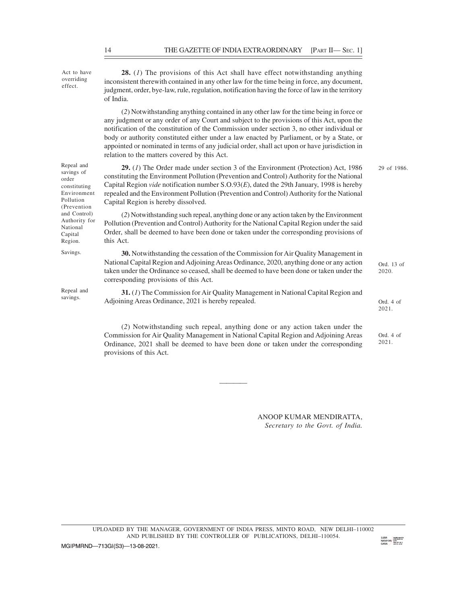Act to have  $\frac{28.}{I}$  The provisions of this Act shall have effect notwithstanding anything overriding inconsistent therewith contained in any other law for the time being in force, any document, judgment, order, bye-law, rule, regulation, notification having the force of law in the territory of India. (2) Notwithstanding anything contained in any other law for the time being in force or any judgment or any order of any Court and subject to the provisions of this Act, upon the notification of the constitution of the Commission under section 3, no other individual or body or authority constituted either under a law enacted by Parliament, or by a State, or appointed or nominated in terms of any judicial order, shall act upon or have jurisdiction in relation to the matters covered by this Act. Repeal and 29. (1) The Order made under section 3 of the Environment (Protection) Act, 1986 29 of 1986. savings of<br>
constituting the Environment Pollution (Prevention and Control) Authority for the National constituting Capital Region *vide* notification number  $S.O.93(E)$ , dated the 29th January, 1998 is hereby Environment repealed and the Environment Pollution (Prevention and Control) Authority for the National Capital Region is hereby dissolved. Pollution (2) Notwithstanding such repeal, anything done or any action taken by the Environment and Control) Authority for Pollution (Prevention and Control) Authority for the National Capital Region under the said Capital Capital Order, shall be deemed to have been done or taken under the corresponding provisions of Region. this Act. Savings. 30. Notwithstanding the cessation of the Commission for Air Quality Management in National Capital Region and Adjoining Areas Ordinance, 2020, anything done or any action taken under the Ordinance so ceased, shall be deemed to have been done or taken under the corresponding provisions of this Act. Repeal and  $31. (I)$  The Commission for Air Quality Management in National Capital Region and savings. Adjoining Areas Ordinance, 2021 is hereby repealed. (2) Notwithstanding such repeal, anything done or any action taken under the Commission for Air Quality Management in National Capital Region and Adjoining Areas Ordinance, 2021 shall be deemed to have been done or taken under the corresponding provisions of this Act. order constituting the Ei Ord. 4 of 2021. Ord. 4 of 2021. 29 of 1986. Ord. 13 of 2020. THE GAZETTE OF INDIA EXTRAORDINARY [PART II— SEC. 1]<br>
28. (1) The provisions of this Act shall have effect notwithstanding anything<br>
inconsistent therewith contained in any other law for the time being in force, any docume

> ANOOP KUMAR MENDIRATTA, Secretary to the Govt. of India.

and the contract of the contract of the contract of the contract of the contract of the contract of the contract of

UPLOADED BY THE MANAGER, GOVERNMENT OF INDIA PRESS, MINTO ROAD, NEW DELHI–110002 AND PUBLISHED BY THE CONTROLLER OF PUBLICATIONS, DELHI–110054.

MGIPMRND-713GI(S3)-13-08-2021.

effect.

(Prevention National